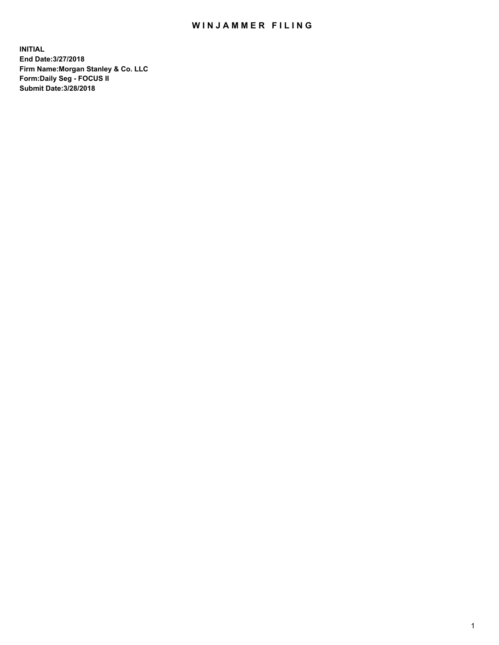### WIN JAMMER FILING

**INITIAL End Date:3/27/2018 Firm Name:Morgan Stanley & Co. LLC Form:Daily Seg - FOCUS II Submit Date:3/28/2018**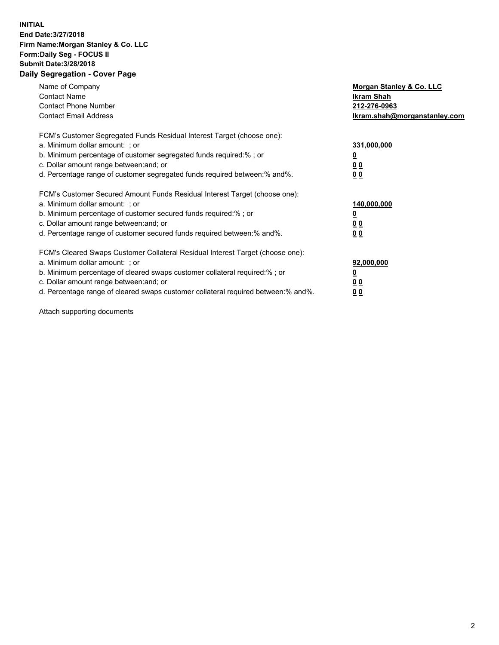### **INITIAL End Date:3/27/2018 Firm Name:Morgan Stanley & Co. LLC Form:Daily Seg - FOCUS II Submit Date:3/28/2018 Daily Segregation - Cover Page**

| Name of Company<br><b>Contact Name</b><br><b>Contact Phone Number</b><br><b>Contact Email Address</b>                                                                                                                                                                                                                          | Morgan Stanley & Co. LLC<br>Ikram Shah<br>212-276-0963<br>lkram.shah@morganstanley.com |
|--------------------------------------------------------------------------------------------------------------------------------------------------------------------------------------------------------------------------------------------------------------------------------------------------------------------------------|----------------------------------------------------------------------------------------|
| FCM's Customer Segregated Funds Residual Interest Target (choose one):<br>a. Minimum dollar amount: ; or<br>b. Minimum percentage of customer segregated funds required:%; or<br>c. Dollar amount range between: and; or<br>d. Percentage range of customer segregated funds required between: % and %.                        | 331,000,000<br>0 <sub>0</sub><br>00                                                    |
| FCM's Customer Secured Amount Funds Residual Interest Target (choose one):<br>a. Minimum dollar amount: ; or<br>b. Minimum percentage of customer secured funds required:%; or<br>c. Dollar amount range between: and; or<br>d. Percentage range of customer secured funds required between:% and%.                            | 140,000,000<br>0 <sub>0</sub><br>0 <sub>0</sub>                                        |
| FCM's Cleared Swaps Customer Collateral Residual Interest Target (choose one):<br>a. Minimum dollar amount: ; or<br>b. Minimum percentage of cleared swaps customer collateral required:% ; or<br>c. Dollar amount range between: and; or<br>d. Percentage range of cleared swaps customer collateral required between:% and%. | 92,000,000<br>0 <sub>0</sub><br>0 <sub>0</sub>                                         |

Attach supporting documents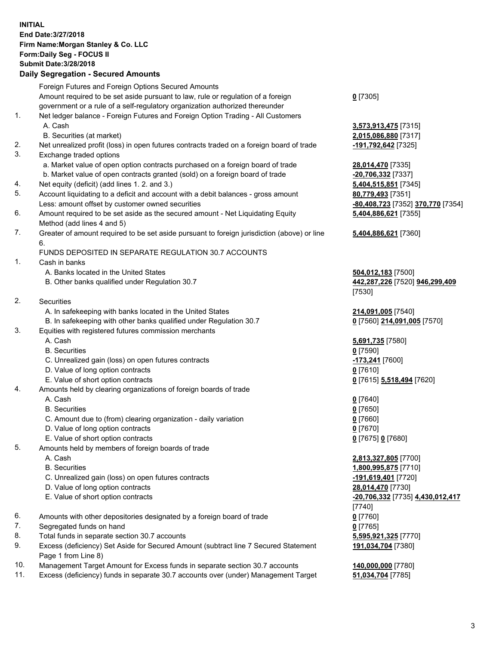#### **INITIAL End Date:3/27/2018 Firm Name:Morgan Stanley & Co. LLC Form:Daily Seg - FOCUS II Submit Date:3/28/2018 Daily Segregation - Secured Amounts**

# Foreign Futures and Foreign Options Secured Amounts

Amount required to be set aside pursuant to law, rule or regulation of a foreign government or a rule of a self-regulatory organization authorized thereunder

- 1. Net ledger balance Foreign Futures and Foreign Option Trading All Customers A. Cash **3,573,913,475** [7315]
	- B. Securities (at market) **2,015,086,880** [7317]
- 2. Net unrealized profit (loss) in open futures contracts traded on a foreign board of trade **-191,792,642** [7325]
- 3. Exchange traded options
	- a. Market value of open option contracts purchased on a foreign board of trade **28,014,470** [7335]
	- b. Market value of open contracts granted (sold) on a foreign board of trade **-20,706,332** [7337]
- 4. Net equity (deficit) (add lines 1. 2. and 3.) **5,404,515,851** [7345]
- 5. Account liquidating to a deficit and account with a debit balances gross amount **80,779,493** [7351] Less: amount offset by customer owned securities **-80,408,723** [7352] **370,770** [7354]
- 6. Amount required to be set aside as the secured amount Net Liquidating Equity Method (add lines 4 and 5)
- 7. Greater of amount required to be set aside pursuant to foreign jurisdiction (above) or line 6.

### FUNDS DEPOSITED IN SEPARATE REGULATION 30.7 ACCOUNTS

- 1. Cash in banks
	- A. Banks located in the United States **504,012,183** [7500]
	- B. Other banks qualified under Regulation 30.7 **442,287,226** [7520] **946,299,409**
- 2. Securities
	- A. In safekeeping with banks located in the United States **214,091,005** [7540]
- B. In safekeeping with other banks qualified under Regulation 30.7 **0** [7560] **214,091,005** [7570]
- 3. Equities with registered futures commission merchants
	-
	-
	- C. Unrealized gain (loss) on open futures contracts **-173,241** [7600]
	- D. Value of long option contracts **0** [7610]
	- E. Value of short option contracts **0** [7615] **5,518,494** [7620]
- 4. Amounts held by clearing organizations of foreign boards of trade
	-
	-
	- C. Amount due to (from) clearing organization daily variation **0** [7660]
	- D. Value of long option contracts **0** [7670]
	- E. Value of short option contracts **0** [7675] **0** [7680]
- 5. Amounts held by members of foreign boards of trade
	-
	-
	- C. Unrealized gain (loss) on open futures contracts **-191,619,401** [7720]
	- D. Value of long option contracts **28,014,470** [7730]
	-
- 6. Amounts with other depositories designated by a foreign board of trade **0** [7760]
- 7. Segregated funds on hand **0** [7765]
- 8. Total funds in separate section 30.7 accounts **5,595,921,325** [7770]
- 9. Excess (deficiency) Set Aside for Secured Amount (subtract line 7 Secured Statement Page 1 from Line 8)
- 10. Management Target Amount for Excess funds in separate section 30.7 accounts **140,000,000** [7780]
- 11. Excess (deficiency) funds in separate 30.7 accounts over (under) Management Target **51,034,704** [7785]

**0** [7305]

**5,404,886,621** [7355]

## **5,404,886,621** [7360]

[7530]

 A. Cash **5,691,735** [7580] B. Securities **0** [7590]

 A. Cash **0** [7640] B. Securities **0** [7650]

 A. Cash **2,813,327,805** [7700] B. Securities **1,800,995,875** [7710] E. Value of short option contracts **-20,706,332** [7735] **4,430,012,417** [7740] **191,034,704** [7380]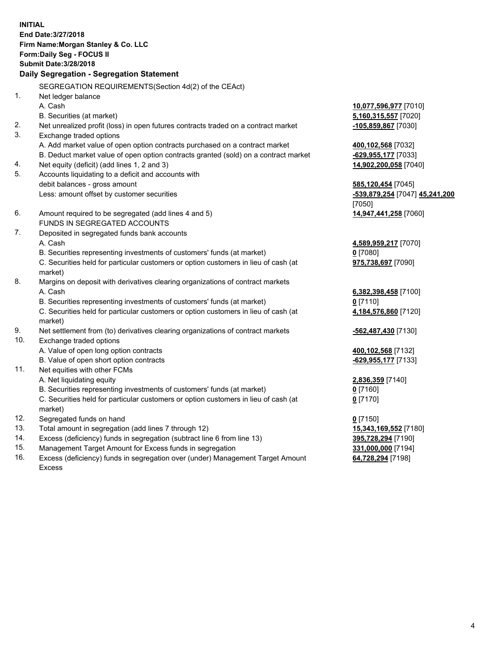**INITIAL End Date:3/27/2018 Firm Name:Morgan Stanley & Co. LLC Form:Daily Seg - FOCUS II Submit Date:3/28/2018 Daily Segregation - Segregation Statement** SEGREGATION REQUIREMENTS(Section 4d(2) of the CEAct) 1. Net ledger balance A. Cash **10,077,596,977** [7010] B. Securities (at market) **5,160,315,557** [7020] 2. Net unrealized profit (loss) in open futures contracts traded on a contract market **-105,859,867** [7030] 3. Exchange traded options A. Add market value of open option contracts purchased on a contract market **400,102,568** [7032] B. Deduct market value of open option contracts granted (sold) on a contract market **-629,955,177** [7033] 4. Net equity (deficit) (add lines 1, 2 and 3) **14,902,200,058** [7040] 5. Accounts liquidating to a deficit and accounts with debit balances - gross amount **585,120,454** [7045] Less: amount offset by customer securities **-539,879,254** [7047] **45,241,200** [7050] 6. Amount required to be segregated (add lines 4 and 5) **14,947,441,258** [7060] FUNDS IN SEGREGATED ACCOUNTS 7. Deposited in segregated funds bank accounts A. Cash **4,589,959,217** [7070] B. Securities representing investments of customers' funds (at market) **0** [7080] C. Securities held for particular customers or option customers in lieu of cash (at market) **975,738,697** [7090] 8. Margins on deposit with derivatives clearing organizations of contract markets A. Cash **6,382,398,458** [7100] B. Securities representing investments of customers' funds (at market) **0** [7110] C. Securities held for particular customers or option customers in lieu of cash (at market) **4,184,576,860** [7120] 9. Net settlement from (to) derivatives clearing organizations of contract markets **-562,487,430** [7130] 10. Exchange traded options A. Value of open long option contracts **400,102,568** [7132] B. Value of open short option contracts **-629,955,177** [7133] 11. Net equities with other FCMs A. Net liquidating equity **2,836,359** [7140] B. Securities representing investments of customers' funds (at market) **0** [7160] C. Securities held for particular customers or option customers in lieu of cash (at market) **0** [7170] 12. Segregated funds on hand **0** [7150] 13. Total amount in segregation (add lines 7 through 12) **15,343,169,552** [7180] 14. Excess (deficiency) funds in segregation (subtract line 6 from line 13) **395,728,294** [7190]

- 15. Management Target Amount for Excess funds in segregation **331,000,000** [7194]
- 16. Excess (deficiency) funds in segregation over (under) Management Target Amount Excess

**64,728,294** [7198]